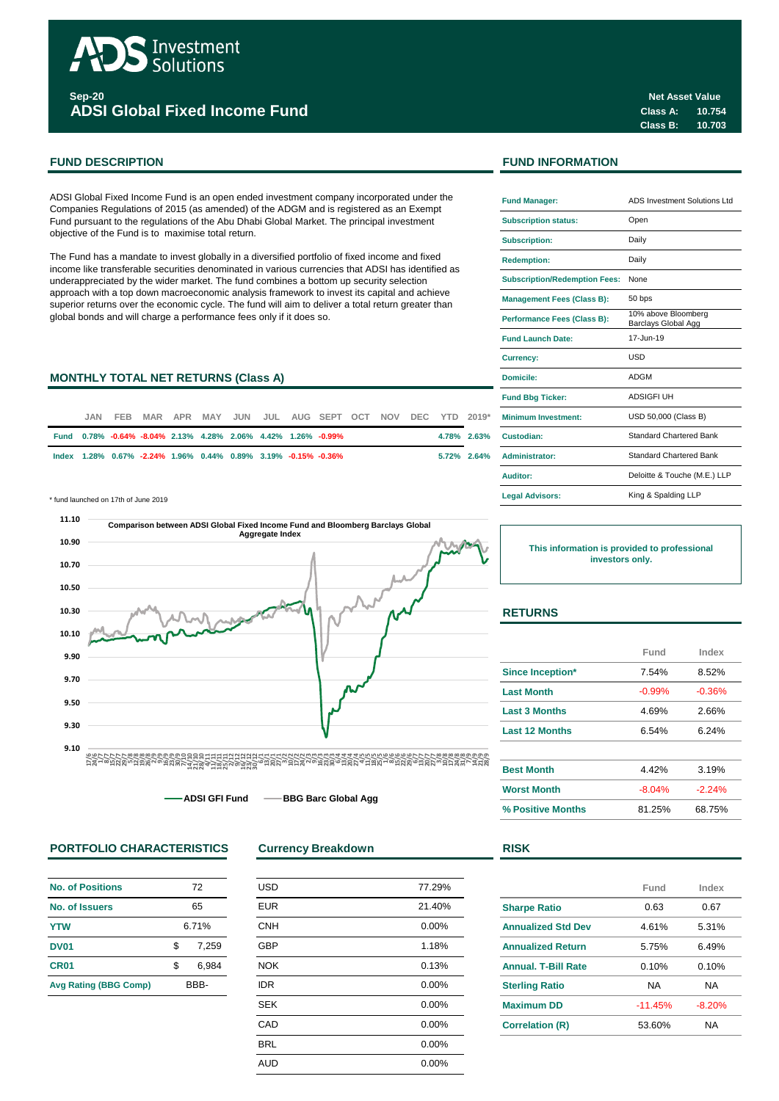

**Sep-20 ADSI Global Fixed Income Fund**

ADSI Global Fixed Income Fund is an open ended investment company incorporated under the Companies Regulations of 2015 (as amended) of the ADGM and is registered as an Exempt Fund pursuant to the regulations of the Abu Dhabi Global Market. The principal investment objective of the Fund is to maximise total return.

The Fund has a mandate to invest globally in a diversified portfolio of fixed income and fixed income like transferable securities denominated in various currencies that ADSI has identified as underappreciated by the wider market. The fund combines a bottom up security selection approach with a top down macroeconomic analysis framework to invest its capital and achieve superior returns over the economic cycle. The fund will aim to deliver a total return greater than global bonds and will charge a performance fees only if it does so.

# **MONTHLY TOTAL NET RETURNS (Class A)**

| JAN. |  |  |  | FEB MAR APR MAY JUN JUL AUG SEPT OCT NOV DEC YTD 2019*         |  |  | <b>Minimum Investment:</b> |
|------|--|--|--|----------------------------------------------------------------|--|--|----------------------------|
|      |  |  |  | Fund 0.78% -0.64% -8.04% 2.13% 4.28% 2.06% 4.42% 1.26% -0.99%  |  |  | 4.78% 2.63% Custodian:     |
|      |  |  |  | lndex 1.28% 0.67% -2.24% 1.96% 0.44% 0.89% 3.19% -0.15% -0.36% |  |  | 5.72% 2.64% Administrator: |

\* fund launched on 17th of June 2019 **Legal Advisors:**



**ADSI GFI Fund BBG Barc Global Agg**

# **PORTFOLIO CHARACTERISTICS Currency Breakdown RISK**

| No. of Positions             | 72    |       |  |
|------------------------------|-------|-------|--|
| No. of Issuers               | 65    |       |  |
| <b>YTW</b>                   | 6.71% |       |  |
| DV01                         | \$    | 7,259 |  |
| CR <sub>01</sub>             | \$    | 6.984 |  |
| <b>Avg Rating (BBG Comp)</b> | BBB-  |       |  |

| <b>USD</b> | 77.29% |
|------------|--------|
| <b>EUR</b> | 21.40% |
| <b>CNH</b> | 0.00%  |
| GBP        | 1.18%  |
| <b>NOK</b> | 0.13%  |
| <b>IDR</b> | 0.00%  |
| <b>SEK</b> | 0.00%  |
| CAD        | 0.00%  |
| <b>BRL</b> | 0.00%  |
| <b>AUD</b> | 0.00%  |
|            |        |

# **FUND DESCRIPTION FUND INFORMATION**

| <b>Fund Manager:</b>                 | ADS Investment Solutions Ltd               |  |  |  |
|--------------------------------------|--------------------------------------------|--|--|--|
| <b>Subscription status:</b>          | Open                                       |  |  |  |
| <b>Subscription:</b>                 | Daily                                      |  |  |  |
| <b>Redemption:</b>                   | Daily                                      |  |  |  |
| <b>Subscription/Redemption Fees:</b> | None                                       |  |  |  |
| <b>Management Fees (Class B):</b>    | 50 bps                                     |  |  |  |
| <b>Performance Fees (Class B):</b>   | 10% above Bloomberg<br>Barclays Global Agg |  |  |  |
| <b>Fund Launch Date:</b>             | 17-Jun-19                                  |  |  |  |
| <b>Currency:</b>                     | USD                                        |  |  |  |
| Domicile:                            | ADGM                                       |  |  |  |
| <b>Fund Bbg Ticker:</b>              | <b>ADSIGFI UH</b>                          |  |  |  |
| <b>Minimum Investment:</b>           | USD 50,000 (Class B)                       |  |  |  |
| Custodian:                           | Standard Chartered Bank                    |  |  |  |
| <b>Administrator:</b>                | <b>Standard Chartered Bank</b>             |  |  |  |
| Auditor:                             | Deloitte & Touche (M.E.) LLP               |  |  |  |
| <b>Legal Advisors:</b>               | King & Spalding LLP                        |  |  |  |

**This information is provided to professional investors only.**

# **RETURNS**

|                         | Fund     | Index    |
|-------------------------|----------|----------|
| <b>Since Inception*</b> | 7.54%    | 8.52%    |
| <b>Last Month</b>       | $-0.99%$ | $-0.36%$ |
| <b>Last 3 Months</b>    | 4.69%    | 2.66%    |
| <b>Last 12 Months</b>   | 6.54%    | 6.24%    |
| <b>Best Month</b>       | 4.42%    | 3.19%    |
| <b>Worst Month</b>      | $-8.04%$ | $-2.24%$ |
| % Positive Months       | 81.25%   | 68.75%   |

| I<br>×<br>v |  |
|-------------|--|
|             |  |

|                            | Fund      | Index     |
|----------------------------|-----------|-----------|
| <b>Sharpe Ratio</b>        | 0.63      | 0.67      |
| <b>Annualized Std Dev</b>  | 4.61%     | 5.31%     |
| <b>Annualized Return</b>   | 5.75%     | 6.49%     |
| <b>Annual, T-Bill Rate</b> | 0.10%     | 0.10%     |
| <b>Sterling Ratio</b>      | NA        | <b>NA</b> |
| <b>Maximum DD</b>          | $-11.45%$ | $-8.20%$  |
| <b>Correlation (R)</b>     | 53.60%    | NA        |